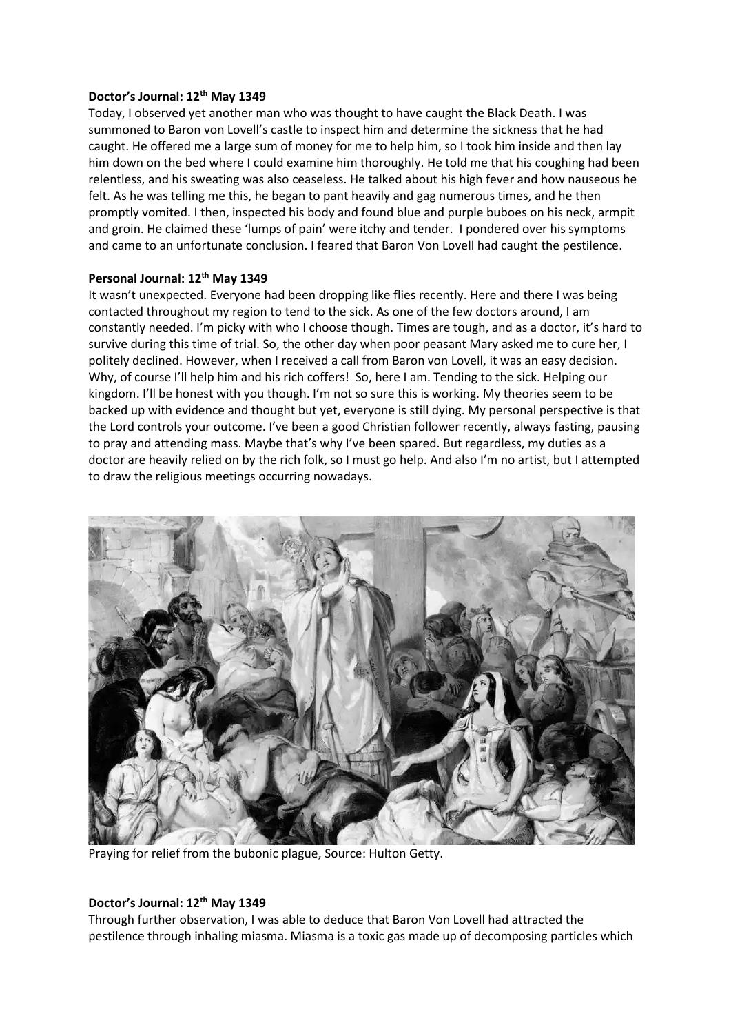## **Doctor's Journal: 12th May 1349**

Today, I observed yet another man who was thought to have caught the Black Death. I was summoned to Baron von Lovell's castle to inspect him and determine the sickness that he had caught. He offered me a large sum of money for me to help him, so I took him inside and then lay him down on the bed where I could examine him thoroughly. He told me that his coughing had been relentless, and his sweating was also ceaseless. He talked about his high fever and how nauseous he felt. As he was telling me this, he began to pant heavily and gag numerous times, and he then promptly vomited. I then, inspected his body and found blue and purple buboes on his neck, armpit and groin. He claimed these 'lumps of pain' were itchy and tender. I pondered over his symptoms and came to an unfortunate conclusion. I feared that Baron Von Lovell had caught the pestilence.

## **Personal Journal: 12th May 1349**

It wasn't unexpected. Everyone had been dropping like flies recently. Here and there I was being contacted throughout my region to tend to the sick. As one of the few doctors around, I am constantly needed. I'm picky with who I choose though. Times are tough, and as a doctor, it's hard to survive during this time of trial. So, the other day when poor peasant Mary asked me to cure her, I politely declined. However, when I received a call from Baron von Lovell, it was an easy decision. Why, of course I'll help him and his rich coffers! So, here I am. Tending to the sick. Helping our kingdom. I'll be honest with you though. I'm not so sure this is working. My theories seem to be backed up with evidence and thought but yet, everyone is still dying. My personal perspective is that the Lord controls your outcome. I've been a good Christian follower recently, always fasting, pausing to pray and attending mass. Maybe that's why I've been spared. But regardless, my duties as a doctor are heavily relied on by the rich folk, so I must go help. And also I'm no artist, but I attempted to draw the religious meetings occurring nowadays.



Praying for relief from the bubonic plague, Source: Hulton Getty.

## **Doctor's Journal: 12th May 1349**

Through further observation, I was able to deduce that Baron Von Lovell had attracted the pestilence through inhaling miasma. Miasma is a toxic gas made up of decomposing particles which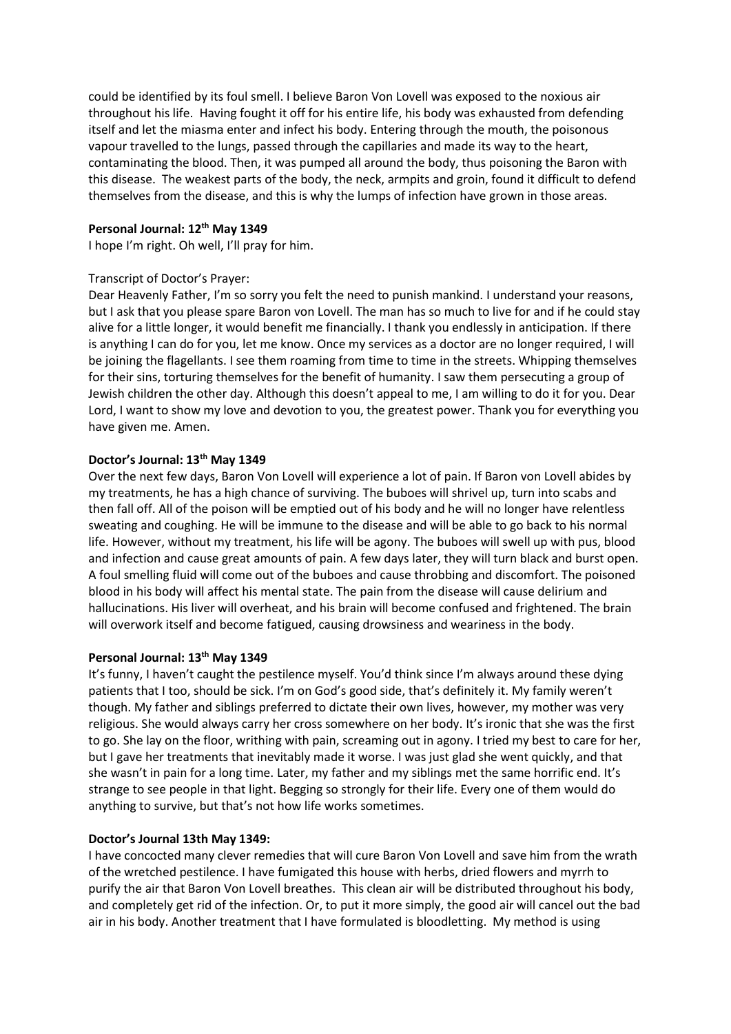could be identified by its foul smell. I believe Baron Von Lovell was exposed to the noxious air throughout his life. Having fought it off for his entire life, his body was exhausted from defending itself and let the miasma enter and infect his body. Entering through the mouth, the poisonous vapour travelled to the lungs, passed through the capillaries and made its way to the heart, contaminating the blood. Then, it was pumped all around the body, thus poisoning the Baron with this disease. The weakest parts of the body, the neck, armpits and groin, found it difficult to defend themselves from the disease, and this is why the lumps of infection have grown in those areas.

## **Personal Journal: 12th May 1349**

I hope I'm right. Oh well, I'll pray for him.

## Transcript of Doctor's Prayer:

Dear Heavenly Father, I'm so sorry you felt the need to punish mankind. I understand your reasons, but I ask that you please spare Baron von Lovell. The man has so much to live for and if he could stay alive for a little longer, it would benefit me financially. I thank you endlessly in anticipation. If there is anything I can do for you, let me know. Once my services as a doctor are no longer required, I will be joining the flagellants. I see them roaming from time to time in the streets. Whipping themselves for their sins, torturing themselves for the benefit of humanity. I saw them persecuting a group of Jewish children the other day. Although this doesn't appeal to me, I am willing to do it for you. Dear Lord, I want to show my love and devotion to you, the greatest power. Thank you for everything you have given me. Amen.

## **Doctor's Journal: 13th May 1349**

Over the next few days, Baron Von Lovell will experience a lot of pain. If Baron von Lovell abides by my treatments, he has a high chance of surviving. The buboes will shrivel up, turn into scabs and then fall off. All of the poison will be emptied out of his body and he will no longer have relentless sweating and coughing. He will be immune to the disease and will be able to go back to his normal life. However, without my treatment, his life will be agony. The buboes will swell up with pus, blood and infection and cause great amounts of pain. A few days later, they will turn black and burst open. A foul smelling fluid will come out of the buboes and cause throbbing and discomfort. The poisoned blood in his body will affect his mental state. The pain from the disease will cause delirium and hallucinations. His liver will overheat, and his brain will become confused and frightened. The brain will overwork itself and become fatigued, causing drowsiness and weariness in the body.

#### **Personal Journal: 13th May 1349**

It's funny, I haven't caught the pestilence myself. You'd think since I'm always around these dying patients that I too, should be sick. I'm on God's good side, that's definitely it. My family weren't though. My father and siblings preferred to dictate their own lives, however, my mother was very religious. She would always carry her cross somewhere on her body. It's ironic that she was the first to go. She lay on the floor, writhing with pain, screaming out in agony. I tried my best to care for her, but I gave her treatments that inevitably made it worse. I was just glad she went quickly, and that she wasn't in pain for a long time. Later, my father and my siblings met the same horrific end. It's strange to see people in that light. Begging so strongly for their life. Every one of them would do anything to survive, but that's not how life works sometimes.

#### **Doctor's Journal 13th May 1349:**

I have concocted many clever remedies that will cure Baron Von Lovell and save him from the wrath of the wretched pestilence. I have fumigated this house with herbs, dried flowers and myrrh to purify the air that Baron Von Lovell breathes. This clean air will be distributed throughout his body, and completely get rid of the infection. Or, to put it more simply, the good air will cancel out the bad air in his body. Another treatment that I have formulated is bloodletting. My method is using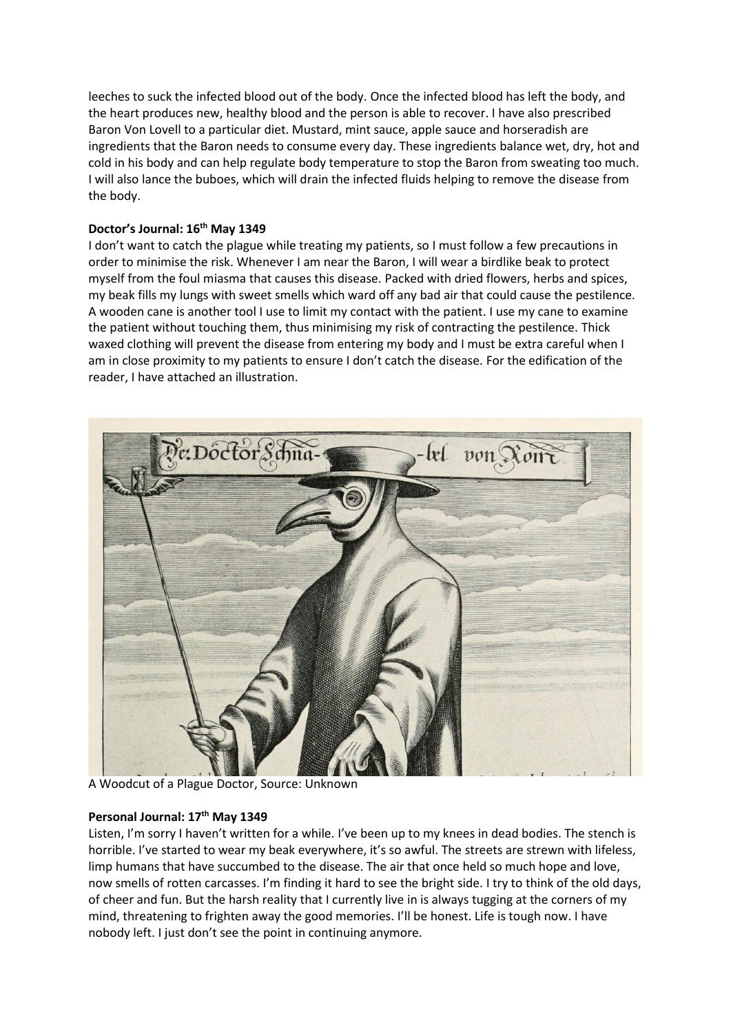leeches to suck the infected blood out of the body. Once the infected blood has left the body, and the heart produces new, healthy blood and the person is able to recover. I have also prescribed Baron Von Lovell to a particular diet. Mustard, mint sauce, apple sauce and horseradish are ingredients that the Baron needs to consume every day. These ingredients balance wet, dry, hot and cold in his body and can help regulate body temperature to stop the Baron from sweating too much. I will also lance the buboes, which will drain the infected fluids helping to remove the disease from the body.

# **Doctor's Journal: 16th May 1349**

I don't want to catch the plague while treating my patients, so I must follow a few precautions in order to minimise the risk. Whenever I am near the Baron, I will wear a birdlike beak to protect myself from the foul miasma that causes this disease. Packed with dried flowers, herbs and spices, my beak fills my lungs with sweet smells which ward off any bad air that could cause the pestilence. A wooden cane is another tool I use to limit my contact with the patient. I use my cane to examine the patient without touching them, thus minimising my risk of contracting the pestilence. Thick waxed clothing will prevent the disease from entering my body and I must be extra careful when I am in close proximity to my patients to ensure I don't catch the disease. For the edification of the reader, I have attached an illustration.



A Woodcut of a Plague Doctor, Source: Unknown

## **Personal Journal: 17th May 1349**

Listen, I'm sorry I haven't written for a while. I've been up to my knees in dead bodies. The stench is horrible. I've started to wear my beak everywhere, it's so awful. The streets are strewn with lifeless, limp humans that have succumbed to the disease. The air that once held so much hope and love, now smells of rotten carcasses. I'm finding it hard to see the bright side. I try to think of the old days, of cheer and fun. But the harsh reality that I currently live in is always tugging at the corners of my mind, threatening to frighten away the good memories. I'll be honest. Life is tough now. I have nobody left. I just don't see the point in continuing anymore.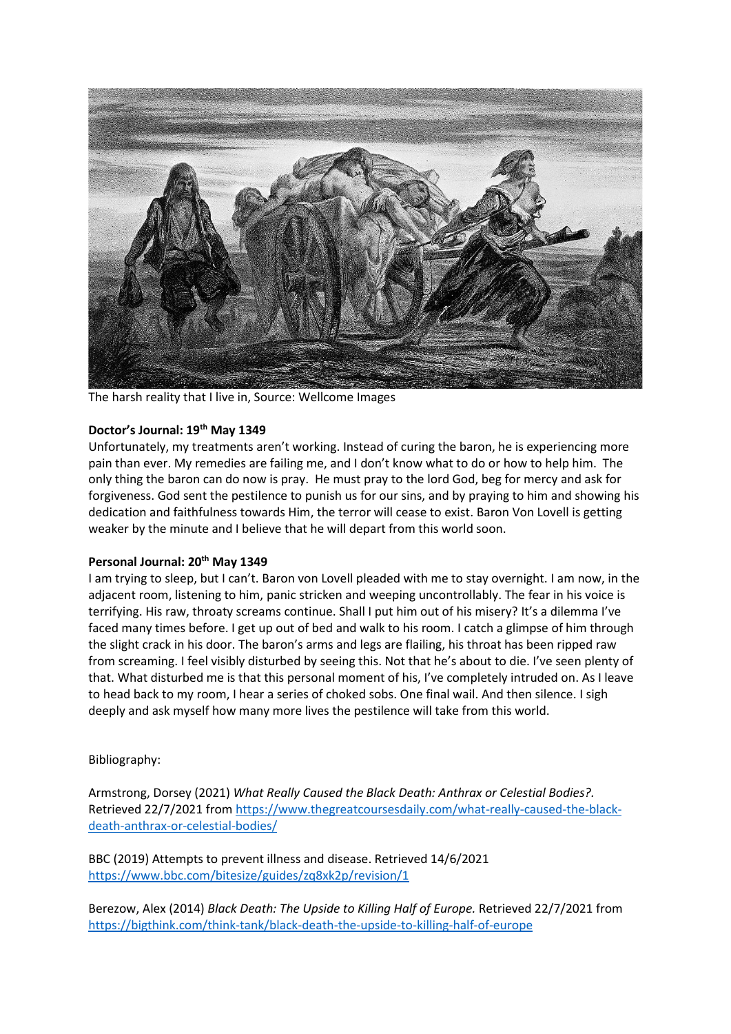

The harsh reality that I live in, Source: Wellcome Images

# **Doctor's Journal: 19th May 1349**

Unfortunately, my treatments aren't working. Instead of curing the baron, he is experiencing more pain than ever. My remedies are failing me, and I don't know what to do or how to help him. The only thing the baron can do now is pray. He must pray to the lord God, beg for mercy and ask for forgiveness. God sent the pestilence to punish us for our sins, and by praying to him and showing his dedication and faithfulness towards Him, the terror will cease to exist. Baron Von Lovell is getting weaker by the minute and I believe that he will depart from this world soon.

## **Personal Journal: 20th May 1349**

I am trying to sleep, but I can't. Baron von Lovell pleaded with me to stay overnight. I am now, in the adjacent room, listening to him, panic stricken and weeping uncontrollably. The fear in his voice is terrifying. His raw, throaty screams continue. Shall I put him out of his misery? It's a dilemma I've faced many times before. I get up out of bed and walk to his room. I catch a glimpse of him through the slight crack in his door. The baron's arms and legs are flailing, his throat has been ripped raw from screaming. I feel visibly disturbed by seeing this. Not that he's about to die. I've seen plenty of that. What disturbed me is that this personal moment of his, I've completely intruded on. As I leave to head back to my room, I hear a series of choked sobs. One final wail. And then silence. I sigh deeply and ask myself how many more lives the pestilence will take from this world.

# Bibliography:

Armstrong, Dorsey (2021) *What Really Caused the Black Death: Anthrax or Celestial Bodies?.*  Retrieved 22/7/2021 from [https://www.thegreatcoursesdaily.com/what-really-caused-the-black](https://www.thegreatcoursesdaily.com/what-really-caused-the-black-death-anthrax-or-celestial-bodies/)[death-anthrax-or-celestial-bodies/](https://www.thegreatcoursesdaily.com/what-really-caused-the-black-death-anthrax-or-celestial-bodies/)

BBC (2019) Attempts to prevent illness and disease. Retrieved 14/6/2021 <https://www.bbc.com/bitesize/guides/zq8xk2p/revision/1>

Berezow, Alex (2014) *Black Death: The Upside to Killing Half of Europe.* Retrieved 22/7/2021 from <https://bigthink.com/think-tank/black-death-the-upside-to-killing-half-of-europe>